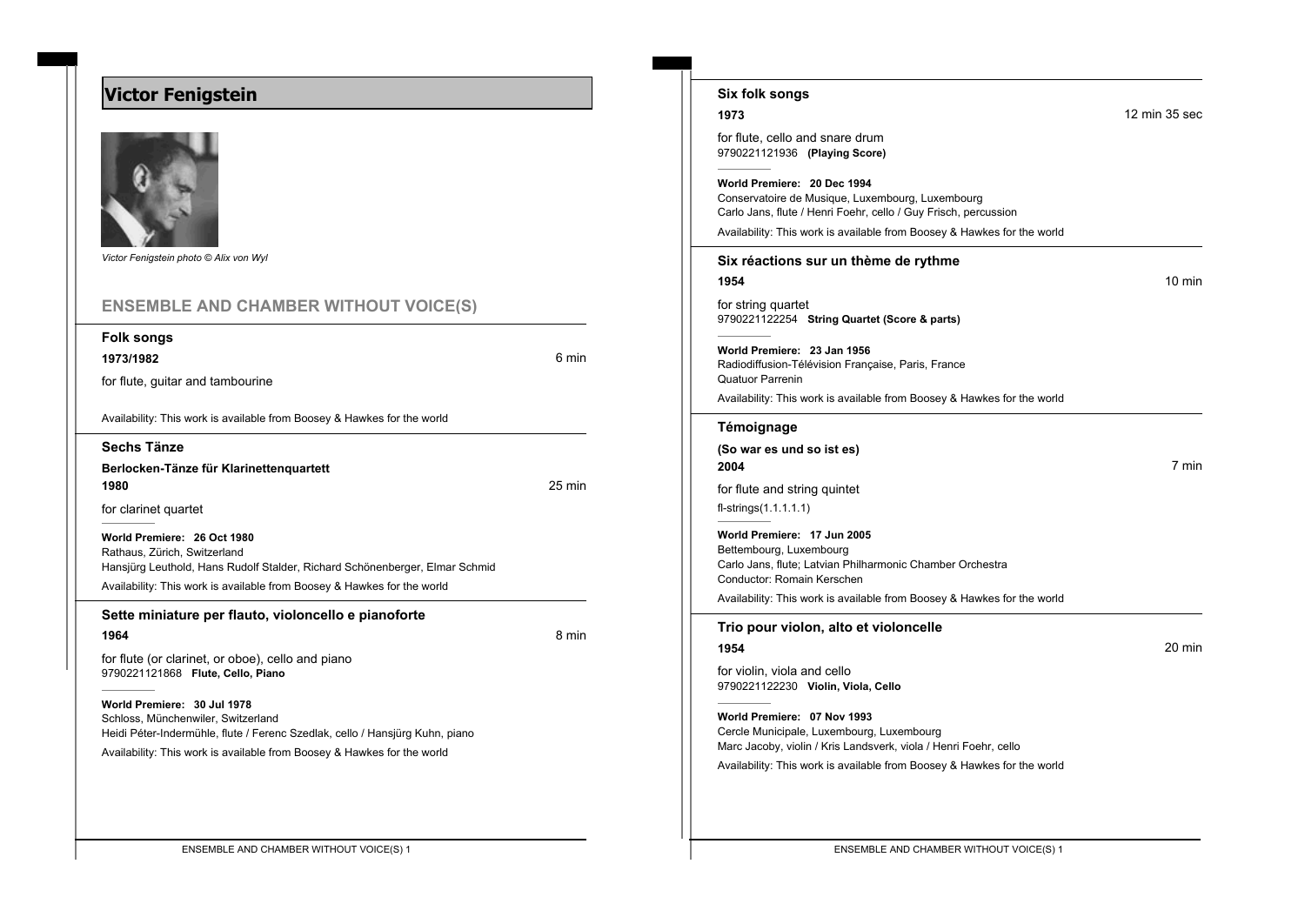## **Victor Fenigstein**



*Victor Fenigstein photo © Alix von Wyl*

| <b>ENSEMBLE AND CHAMBER WITHOUT VOICE(S)</b>                                                                                                                                                                          |        |
|-----------------------------------------------------------------------------------------------------------------------------------------------------------------------------------------------------------------------|--------|
| <b>Folk songs</b><br>1973/1982                                                                                                                                                                                        | 6 min  |
| for flute, guitar and tambourine                                                                                                                                                                                      |        |
| Availability: This work is available from Boosey & Hawkes for the world                                                                                                                                               |        |
| Sechs Tänze                                                                                                                                                                                                           |        |
| Berlocken-Tänze für Klarinettenquartett<br>1980                                                                                                                                                                       | 25 min |
| for clarinet quartet                                                                                                                                                                                                  |        |
| World Premiere: 26 Oct 1980<br>Rathaus, Zürich, Switzerland<br>Hansjürg Leuthold, Hans Rudolf Stalder, Richard Schönenberger, Elmar Schmid<br>Availability: This work is available from Boosey & Hawkes for the world |        |
|                                                                                                                                                                                                                       |        |
| Sette miniature per flauto, violoncello e pianoforte                                                                                                                                                                  |        |
| 1964                                                                                                                                                                                                                  | 8 min  |
| for flute (or clarinet, or oboe), cello and piano<br>9790221121868 Flute, Cello, Piano                                                                                                                                |        |
| World Premiere: 30 Jul 1978<br>Schloss, Münchenwiler, Switzerland<br>Heidi Péter-Indermühle, flute / Ferenc Szedlak, cello / Hansjürg Kuhn, piano                                                                     |        |

| Six folk songs                                                                                                                                                                                                                |                  |
|-------------------------------------------------------------------------------------------------------------------------------------------------------------------------------------------------------------------------------|------------------|
| 1973                                                                                                                                                                                                                          | 12 min 35 sec    |
| for flute, cello and snare drum<br>9790221121936 (Playing Score)                                                                                                                                                              |                  |
| World Premiere: 20 Dec 1994<br>Conservatoire de Musique, Luxembourg, Luxembourg<br>Carlo Jans, flute / Henri Foehr, cello / Guy Frisch, percussion<br>Availability: This work is available from Boosey & Hawkes for the world |                  |
| Six réactions sur un thème de rythme                                                                                                                                                                                          |                  |
| 1954                                                                                                                                                                                                                          | $10 \text{ min}$ |
| for string quartet<br>9790221122254 String Quartet (Score & parts)                                                                                                                                                            |                  |
| World Premiere: 23 Jan 1956<br>Radiodiffusion-Télévision Française, Paris, France<br><b>Quatuor Parrenin</b>                                                                                                                  |                  |
| Availability: This work is available from Boosey & Hawkes for the world                                                                                                                                                       |                  |
| Témoignage                                                                                                                                                                                                                    |                  |
| (So war es und so ist es)<br>2004                                                                                                                                                                                             | 7 min            |
| for flute and string quintet<br>$fl-strings(1.1.1.1.1)$                                                                                                                                                                       |                  |
| World Premiere: 17 Jun 2005<br>Bettembourg, Luxembourg<br>Carlo Jans, flute; Latvian Philharmonic Chamber Orchestra<br>Conductor: Romain Kerschen<br>Availability: This work is available from Boosey & Hawkes for the world  |                  |
| Trio pour violon, alto et violoncelle                                                                                                                                                                                         |                  |
| 1954                                                                                                                                                                                                                          | 20 min           |
| for violin, viola and cello<br>9790221122230 Violin, Viola, Cello                                                                                                                                                             |                  |
| World Premiere: 07 Nov 1993<br>Cercle Municipale, Luxembourg, Luxembourg<br>Marc Jacoby, violin / Kris Landsverk, viola / Henri Foehr, cello                                                                                  |                  |
| Availability: This work is available from Boosey & Hawkes for the world                                                                                                                                                       |                  |
|                                                                                                                                                                                                                               |                  |